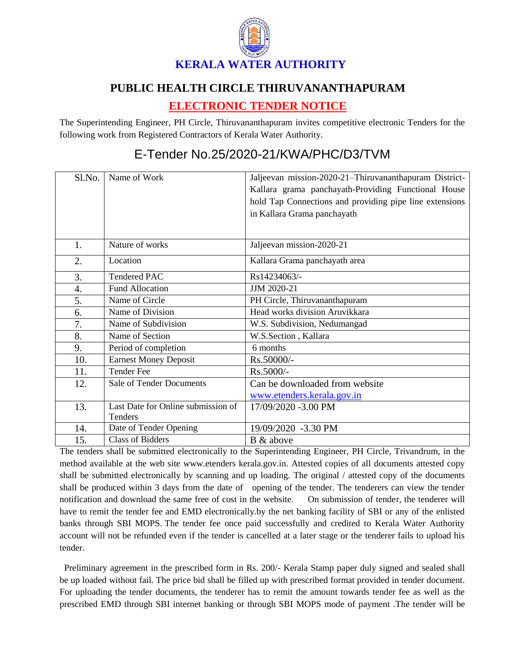

## **PUBLIC HEALTH CIRCLE THIRUVANANTHAPURAM**

## **ELECTRONIC TENDER NOTICE**

The Superintending Engineer, PH Circle, Thiruvananthapuram invites competitive electronic Tenders for the following work from Registered Contractors of Kerala Water Authority.

## Sl.No. Name of Work Jaljeevan mission-2020-21–Thiruvananthapuram District-Kallara grama panchayath-Providing Functional House hold Tap Connections and providing pipe line extensions in Kallara Grama panchayath 1. Nature of works Jaljeevan mission-2020-21 2. Location Kallara Grama panchayath area  $3.$  Tendered PAC Rs14234063/-4. Fund Allocation JJJM 2020-21 5. Name of Circle PH Circle, Thiruvananthapuram 6. Name of Division Read works division Aruvikkara 7. Name of Subdivision W.S. Subdivision, Nedumangad 8. Name of Section W.S.Section , Kallara 9. Period of completion 6 months 10. Earnest Money Deposit Rs.50000/-11. Tender Fee Rs.5000/-12. Sale of Tender Documents Can be downloaded from website [www.etenders.kerala.gov.in](../../../SUBHADRA/KWA/Downloads/www.etenders.kerala.gov.in) 13. Last Date for Online submission of Tenders 17/09/2020 -3.00 PM 14. Date of Tender Opening 19/09/2020 -3.30 PM 15. Class of Bidders B & above

## E-Tender No.25/2020-21/KWA/PHC/D3/TVM

The tenders shall be submitted electronically to the Superintending Engineer, PH Circle, Trivandrum, in the method available at the web site www.etenders kerala.gov.in. Attested copies of all documents attested copy shall be submitted electronically by scanning and up loading. The original / attested copy of the documents shall be produced within 3 days from the date of opening of the tender. The tenderers can view the tender notification and download the same free of cost in the website. On submission of tender, the tenderer will have to remit the tender fee and EMD electronically.by the net banking facility of SBI or any of the enlisted banks through SBI MOPS. The tender fee once paid successfully and credited to Kerala Water Authority account will not be refunded even if the tender is cancelled at a later stage or the tenderer fails to upload his tender.

 Preliminary agreement in the prescribed form in Rs. 200/- Kerala Stamp paper duly signed and sealed shall be up loaded without fail. The price bid shall be filled up with prescribed format provided in tender document. For uploading the tender documents, the tenderer has to remit the amount towards tender fee as well as the prescribed EMD through SBI internet banking or through SBI MOPS mode of payment .The tender will be